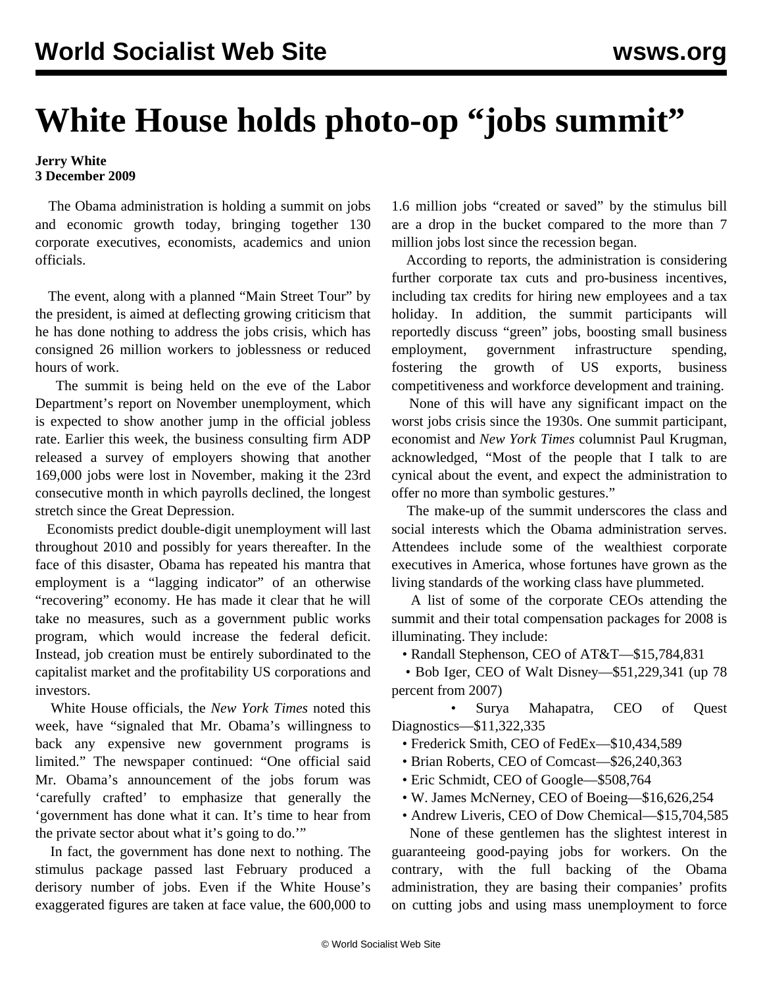## **White House holds photo-op "jobs summit"**

## **Jerry White 3 December 2009**

 The Obama administration is holding a summit on jobs and economic growth today, bringing together 130 corporate executives, economists, academics and union officials.

 The event, along with a planned "Main Street Tour" by the president, is aimed at deflecting growing criticism that he has done nothing to address the jobs crisis, which has consigned 26 million workers to joblessness or reduced hours of work.

 The summit is being held on the eve of the Labor Department's report on November unemployment, which is expected to show another jump in the official jobless rate. Earlier this week, the business consulting firm ADP released a survey of employers showing that another 169,000 jobs were lost in November, making it the 23rd consecutive month in which payrolls declined, the longest stretch since the Great Depression.

 Economists predict double-digit unemployment will last throughout 2010 and possibly for years thereafter. In the face of this disaster, Obama has repeated his mantra that employment is a "lagging indicator" of an otherwise "recovering" economy. He has made it clear that he will take no measures, such as a government public works program, which would increase the federal deficit. Instead, job creation must be entirely subordinated to the capitalist market and the profitability US corporations and investors.

 White House officials, the *New York Times* noted this week, have "signaled that Mr. Obama's willingness to back any expensive new government programs is limited." The newspaper continued: "One official said Mr. Obama's announcement of the jobs forum was 'carefully crafted' to emphasize that generally the 'government has done what it can. It's time to hear from the private sector about what it's going to do.'"

 In fact, the government has done next to nothing. The stimulus package passed last February produced a derisory number of jobs. Even if the White House's exaggerated figures are taken at face value, the 600,000 to 1.6 million jobs "created or saved" by the stimulus bill are a drop in the bucket compared to the more than 7 million jobs lost since the recession began.

 According to reports, the administration is considering further corporate tax cuts and pro-business incentives, including tax credits for hiring new employees and a tax holiday. In addition, the summit participants will reportedly discuss "green" jobs, boosting small business employment, government infrastructure spending, fostering the growth of US exports, business competitiveness and workforce development and training.

 None of this will have any significant impact on the worst jobs crisis since the 1930s. One summit participant, economist and *New York Times* columnist Paul Krugman, acknowledged, "Most of the people that I talk to are cynical about the event, and expect the administration to offer no more than symbolic gestures."

 The make-up of the summit underscores the class and social interests which the Obama administration serves. Attendees include some of the wealthiest corporate executives in America, whose fortunes have grown as the living standards of the working class have plummeted.

 A list of some of the corporate CEOs attending the summit and their total compensation packages for 2008 is illuminating. They include:

• Randall Stephenson, CEO of AT&T—\$15,784,831

 • Bob Iger, CEO of Walt Disney—\$51,229,341 (up 78 percent from 2007)

 • Surya Mahapatra, CEO of Quest Diagnostics—\$11,322,335

- Frederick Smith, CEO of FedEx—\$10,434,589
- Brian Roberts, CEO of Comcast—\$26,240,363
- Eric Schmidt, CEO of Google—\$508,764
- W. James McNerney, CEO of Boeing—\$16,626,254
- Andrew Liveris, CEO of Dow Chemical—\$15,704,585

 None of these gentlemen has the slightest interest in guaranteeing good-paying jobs for workers. On the contrary, with the full backing of the Obama administration, they are basing their companies' profits on cutting jobs and using mass unemployment to force